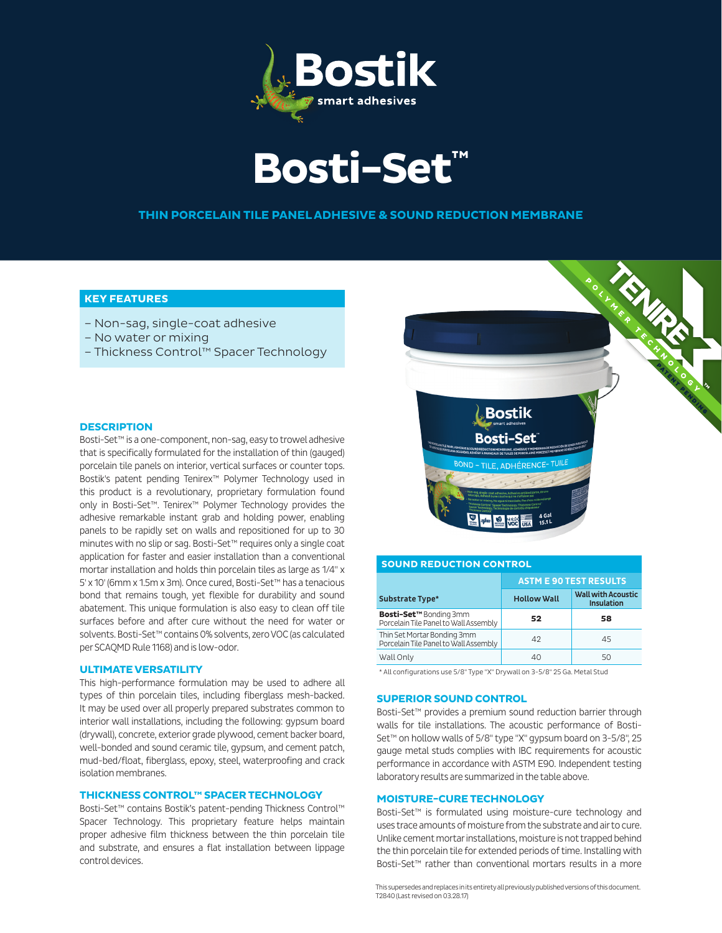



# **THIN PORCELAIN TILE PANEL ADHESIVE & SOUND REDUCTION MEMBRANE**

# **KEY FEATURES**

- Non-sag, single-coat adhesive
- No water or mixing
- Thickness Control™ Spacer Technology

## **DESCRIPTION**

Bosti-Set™ is a one-component, non-sag, easy to trowel adhesive that is specifically formulated for the installation of thin (gauged) porcelain tile panels on interior, vertical surfaces or counter tops. Bostik's patent pending Tenirex™ Polymer Technology used in this product is a revolutionary, proprietary formulation found only in Bosti-Set™. Tenirex™ Polymer Technology provides the adhesive remarkable instant grab and holding power, enabling panels to be rapidly set on walls and repositioned for up to 30 minutes with no slip or sag. Bosti-Set™ requires only a single coat application for faster and easier installation than a conventional mortar installation and holds thin porcelain tiles as large as 1/4" x 5' x 10' (6mm x 1.5m x 3m). Once cured, Bosti-Set™ has a tenacious bond that remains tough, yet flexible for durability and sound abatement. This unique formulation is also easy to clean off tile surfaces before and after cure without the need for water or solvents. Bosti-Set™ contains 0% solvents, zero VOC (as calculated per SCAQMD Rule 1168) and is low-odor.

#### **ULTIMATE VERSATILITY**

This high-performance formulation may be used to adhere all types of thin porcelain tiles, including fiberglass mesh-backed. It may be used over all properly prepared substrates common to interior wall installations, including the following: gypsum board (drywall), concrete, exterior grade plywood, cement backer board, well-bonded and sound ceramic tile, gypsum, and cement patch, mud-bed/float, fiberglass, epoxy, steel, waterproofing and crack isolation membranes.

# **THICKNESS CONTROL™ SPACER TECHNOLOGY**

Bosti-Set™ contains Bostik's patent-pending Thickness Control™ Spacer Technology. This proprietary feature helps maintain proper adhesive film thickness between the thin porcelain tile and substrate, and ensures a flat installation between lippage control devices.



| <b>SOUND REDUCTION CONTROL</b>                                         |                               |                                                |  |  |
|------------------------------------------------------------------------|-------------------------------|------------------------------------------------|--|--|
|                                                                        | <b>ASTM E 90 TEST RESULTS</b> |                                                |  |  |
| <b>Substrate Type*</b>                                                 | <b>Hollow Wall</b>            | <b>Wall with Acoustic</b><br><b>Insulation</b> |  |  |
| <b>Bosti-Set™ Bonding 3mm</b><br>Porcelain Tile Panel to Wall Assembly | 52                            | 58                                             |  |  |
| Thin Set Mortar Bonding 3mm<br>Porcelain Tile Panel to Wall Assembly   | 42                            | 45                                             |  |  |
| Wall Only                                                              | 40                            | 50                                             |  |  |

\* All configurations use 5/8" Type "X" Drywall on 3-5/8" 25 Ga. Metal Stud

# **SUPERIOR SOUND CONTROL**

Bosti-Set™ provides a premium sound reduction barrier through walls for tile installations. The acoustic performance of Bosti-Set<sup>™</sup> on hollow walls of 5/8" type "X" gypsum board on 3-5/8", 25 gauge metal studs complies with IBC requirements for acoustic performance in accordance with ASTM E90. Independent testing laboratory results are summarized in the table above.

#### **MOISTURE-CURE TECHNOLOGY**

Bosti-Set™ is formulated using moisture-cure technology and uses trace amounts of moisture from the substrate and air to cure. Unlike cement mortar installations, moisture is not trapped behind the thin porcelain tile for extended periods of time. Installing with Bosti-Set™ rather than conventional mortars results in a more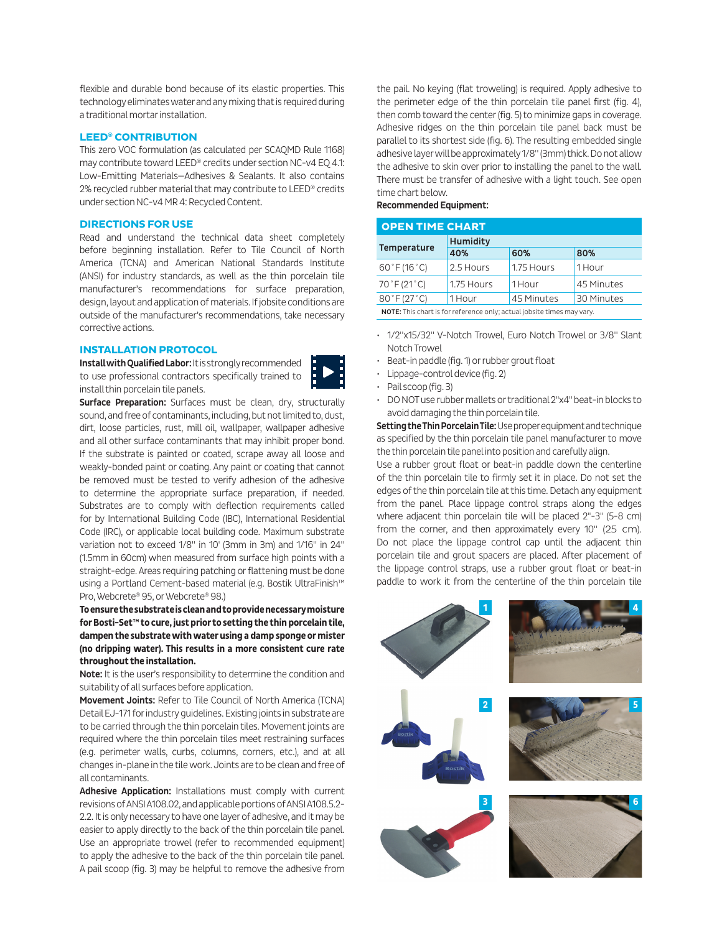flexible and durable bond because of its elastic properties. This technology eliminates water and any mixing that is required during a traditional mortar installation.

### **LEED® CONTRIBUTION**

This zero VOC formulation (as calculated per SCAQMD Rule 1168) may contribute toward LEED<sup>®</sup> credits under section NC-v4 EQ 4.1: Low-Emitting Materials—Adhesives & Sealants. It also contains 2% recycled rubber material that may contribute to LEED® credits under section NC-v4 MR 4: Recycled Content.

### **DIRECTIONS FOR USE**

Read and understand the technical data sheet completely before beginning installation. Refer to Tile Council of North America (TCNA) and American National Standards Institute (ANSI) for industry standards, as well as the thin porcelain tile manufacturer's recommendations for surface preparation, design, layout and application of materials. If jobsite conditions are outside of the manufacturer's recommendations, take necessary corrective actions.

# **INSTALLATION PROTOCOL**

Install with Qualified Labor: It is strongly recommended to use professional contractors specifically trained to install thin porcelain tile panels.



Surface Preparation: Surfaces must be clean, dry, structurally sound, and free of contaminants, including, but not limited to, dust, dirt, loose particles, rust, mill oil, wallpaper, wallpaper adhesive and all other surface contaminants that may inhibit proper bond. If the substrate is painted or coated, scrape away all loose and weakly-bonded paint or coating. Any paint or coating that cannot be removed must be tested to verify adhesion of the adhesive to determine the appropriate surface preparation, if needed. Substrates are to comply with deflection requirements called for by International Building Code (IBC), International Residential Code (IRC), or applicable local building code. Maximum substrate variation not to exceed 1/8" in 10' (3mm in 3m) and 1/16" in 24" (1.5mm in 60cm) when measured from surface high points with a straight-edge. Areas requiring patching or flattening must be done using a Portland Cement-based material (e.g. Bostik UltraFinish™ Pro, Webcrete® 95, or Webcrete® 98.)

**To ensure the substrate is clean and to provide necessary moisture for Bosti-Set™ to cure, just prior to setting the thin porcelain tile, dampen the substrate with water using a damp sponge or mister (no dripping water). This results in a more consistent cure rate throughout the installation.**

Note: It is the user's responsibility to determine the condition and suitability of all surfaces before application.

Movement Joints: Refer to Tile Council of North America (TCNA) Detail EJ-171 for industry guidelines. Existing joints in substrate are to be carried through the thin porcelain tiles. Movement joints are required where the thin porcelain tiles meet restraining surfaces (e.g. perimeter walls, curbs, columns, corners, etc.), and at all changes in-plane in the tile work. Joints are to be clean and free of all contaminants.

Adhesive Application: Installations must comply with current revisions of ANSI A108.02, and applicable portions of ANSI A108.5.2- 2.2. It is only necessary to have one layer of adhesive, and it may be easier to apply directly to the back of the thin porcelain tile panel. Use an appropriate trowel (refer to recommended equipment) to apply the adhesive to the back of the thin porcelain tile panel. A pail scoop (fig. 3) may be helpful to remove the adhesive from

the pail. No keying (flat troweling) is required. Apply adhesive to the perimeter edge of the thin porcelain tile panel first (fig. 4), then comb toward the center (fig. 5) to minimize gaps in coverage. Adhesive ridges on the thin porcelain tile panel back must be parallel to its shortest side (fig. 6). The resulting embedded single adhesive layer will be approximately 1/8" (3mm) thick. Do not allow the adhesive to skin over prior to installing the panel to the wall. There must be transfer of adhesive with a light touch. See open time chart below.

# Recommended Equipment:

| <b>OPEN TIME CHART</b>                                                 |                 |            |            |  |  |
|------------------------------------------------------------------------|-----------------|------------|------------|--|--|
|                                                                        | <b>Humidity</b> |            |            |  |  |
| Temperature                                                            | 40%             | 60%        | 80%        |  |  |
| $60^{\circ}$ F (16 $^{\circ}$ C)                                       | 2.5 Hours       | 1.75 Hours | 1 Hour     |  |  |
| 70°F (21°C)                                                            | 1.75 Hours      | 1 Hour     | 45 Minutes |  |  |
| 80°F (27°C)                                                            | 1 Hour          | 45 Minutes | 30 Minutes |  |  |
| NOTE: This chart is for reference only; actual jobsite times may vary. |                 |            |            |  |  |

- 1/2"x15/32" V-Notch Trowel, Euro Notch Trowel or 3/8" Slant Notch Trowel
- Beat-in paddle (fig. 1) or rubber grout float
- Lippage-control device (fig. 2)
- Pail scoop (fig. 3)
- DO NOT use rubber mallets or traditional 2"x4" beat-in blocks to avoid damaging the thin porcelain tile.

Setting the Thin Porcelain Tile: Use proper equipment and technique as specified by the thin porcelain tile panel manufacturer to move the thin porcelain tile panel into position and carefully align.

Use a rubber grout float or beat-in paddle down the centerline of the thin porcelain tile to firmly set it in place. Do not set the edges of the thin porcelain tile at this time. Detach any equipment from the panel. Place lippage control straps along the edges where adjacent thin porcelain tile will be placed 2"-3" (5-8 cm) from the corner, and then approximately every 10" (25 cm). Do not place the lippage control cap until the adjacent thin porcelain tile and grout spacers are placed. After placement of the lippage control straps, use a rubber grout float or beat-in paddle to work it from the centerline of the thin porcelain tile

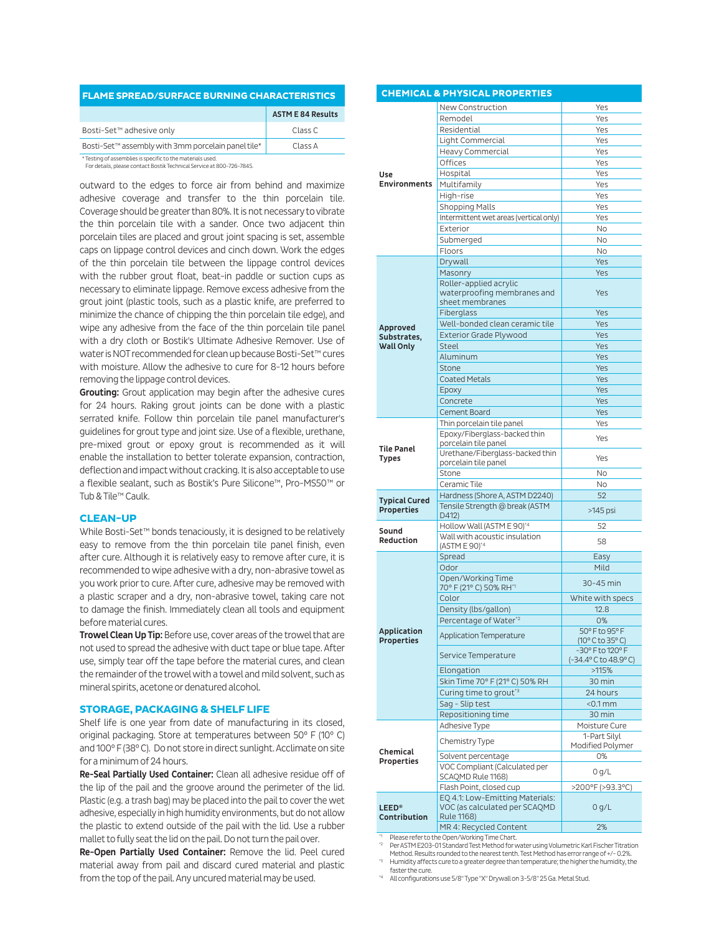| <b>FLAME SPREAD/SURFACE BURNING CHARACTERISTICS</b> |                          |  |  |
|-----------------------------------------------------|--------------------------|--|--|
|                                                     | <b>ASTM E 84 Results</b> |  |  |
| Bosti-Set <sup>™</sup> adhesive only                | Class C                  |  |  |
| Bosti-Set™ assembly with 3mm porcelain panel tile*  | Class A                  |  |  |
|                                                     |                          |  |  |

\* Testing of assemblies is specific to the materials used. For details, please contact Bostik Technical Service at 800-726-7845.

outward to the edges to force air from behind and maximize adhesive coverage and transfer to the thin porcelain tile. Coverage should be greater than 80%. It is not necessary to vibrate the thin porcelain tile with a sander. Once two adjacent thin porcelain tiles are placed and grout joint spacing is set, assemble caps on lippage control devices and cinch down. Work the edges of the thin porcelain tile between the lippage control devices with the rubber grout float, beat-in paddle or suction cups as necessary to eliminate lippage. Remove excess adhesive from the grout joint (plastic tools, such as a plastic knife, are preferred to minimize the chance of chipping the thin porcelain tile edge), and wipe any adhesive from the face of the thin porcelain tile panel with a dry cloth or Bostik's Ultimate Adhesive Remover. Use of water is NOT recommended for clean up because Bosti-Set™ cures with moisture. Allow the adhesive to cure for 8-12 hours before removing the lippage control devices.

Grouting: Grout application may begin after the adhesive cures for 24 hours. Raking grout joints can be done with a plastic serrated knife. Follow thin porcelain tile panel manufacturer's guidelines for grout type and joint size. Use of a flexible, urethane, pre-mixed grout or epoxy grout is recommended as it will enable the installation to better tolerate expansion, contraction, deflection and impact without cracking. It is also acceptable to use a flexible sealant, such as Bostik's Pure Silicone™, Pro-MS50™ or Tub & Tile™ Caulk.

### **CLEAN-UP**

While Bosti-Set™ bonds tenaciously, it is designed to be relatively easy to remove from the thin porcelain tile panel finish, even after cure. Although it is relatively easy to remove after cure, it is recommended to wipe adhesive with a dry, non-abrasive towel as you work prior to cure. After cure, adhesive may be removed with a plastic scraper and a dry, non-abrasive towel, taking care not to damage the finish. Immediately clean all tools and equipment before material cures.

Trowel Clean Up Tip: Before use, cover areas of the trowel that are not used to spread the adhesive with duct tape or blue tape. After use, simply tear off the tape before the material cures, and clean the remainder of the trowel with a towel and mild solvent, such as mineral spirits, acetone or denatured alcohol.

### **STORAGE, PACKAGING & SHELF LIFE**

Shelf life is one year from date of manufacturing in its closed, original packaging. Store at temperatures between 50° F (10° C) and 100° F (38° C). Do not store in direct sunlight. Acclimate on site for a minimum of 24 hours.

Re-Seal Partially Used Container: Clean all adhesive residue off of the lip of the pail and the groove around the perimeter of the lid. Plastic (e.g. a trash bag) may be placed into the pail to cover the wet adhesive, especially in high humidity environments, but do not allow the plastic to extend outside of the pail with the lid. Use a rubber mallet to fully seat the lid on the pail. Do not turn the pail over.

Re-Open Partially Used Container: Remove the lid. Peel cured material away from pail and discard cured material and plastic from the top of the pail. Any uncured material may be used.

|                                         | <b>CHEMICAL &amp; PHYSICAL PROPERTIES</b>                                             |                                         |
|-----------------------------------------|---------------------------------------------------------------------------------------|-----------------------------------------|
|                                         | New Construction                                                                      | Yes                                     |
|                                         | Remodel                                                                               | Yes                                     |
|                                         | Residential                                                                           | Yes                                     |
|                                         | Light Commercial                                                                      | Yes                                     |
|                                         | Heavy Commercial                                                                      | Yes                                     |
|                                         | Offices                                                                               | Yes                                     |
| Use                                     | Hospital                                                                              | Yes                                     |
| <b>Environments</b>                     | Multifamily                                                                           | Yes                                     |
|                                         | High-rise                                                                             | Yes                                     |
|                                         | <b>Shopping Malls</b>                                                                 | Yes                                     |
|                                         | Intermittent wet areas (vertical only)                                                | Yes                                     |
|                                         | Exterior                                                                              | <b>No</b>                               |
|                                         | Submerged                                                                             | No.                                     |
|                                         | Floors                                                                                | <b>No</b>                               |
|                                         | Drywall                                                                               | Yes                                     |
|                                         | Masonry                                                                               | Yes                                     |
|                                         | Roller-applied acrylic<br>waterproofing membranes and<br>sheet membranes              | Yes                                     |
|                                         | Fiberglass                                                                            | Yes                                     |
| Approved                                | Well-bonded clean ceramic tile                                                        | Yes                                     |
| Substrates,                             | <b>Exterior Grade Plywood</b>                                                         | Yes                                     |
| <b>Wall Only</b>                        | <b>Steel</b>                                                                          | Yes                                     |
|                                         | Aluminum                                                                              | Yes                                     |
|                                         | Stone                                                                                 | Yes                                     |
|                                         | <b>Coated Metals</b>                                                                  | Yes                                     |
|                                         | Epoxy                                                                                 | Yes                                     |
|                                         | Concrete<br>Cement Board                                                              | Yes<br>Yes                              |
|                                         | Thin porcelain tile panel                                                             | Yes                                     |
|                                         | Epoxy/Fiberglass-backed thin<br>porcelain tile panel                                  | Yes                                     |
| <b>Tile Panel</b><br>Types              | Urethane/Fiberglass-backed thin<br>porcelain tile panel                               | Yes                                     |
|                                         | Stone                                                                                 | <b>No</b>                               |
|                                         | Ceramic Tile                                                                          | No                                      |
| <b>Typical Cured</b>                    | Hardness (Shore A, ASTM D2240)                                                        | 52                                      |
| <b>Properties</b>                       | Tensile Strength @ break (ASTM<br>D412)                                               | $>145$ psi                              |
|                                         | Hollow Wall (ASTM E 90)*4                                                             | 52                                      |
| Sound<br>Reduction                      | Wall with acoustic insulation                                                         |                                         |
|                                         | (ASTM E 90)*4                                                                         | 58                                      |
|                                         | Spread                                                                                | Easy                                    |
|                                         | Odor                                                                                  | Mild                                    |
|                                         | Open/Working Time                                                                     | 30-45 min                               |
|                                         | 70° F (21° C) 50% RH <sup>*1</sup><br>Color                                           | White with specs                        |
|                                         | Density (lbs/gallon)                                                                  | 12.8                                    |
|                                         | Percentage of Water <sup>*2</sup>                                                     | 0%                                      |
| <b>Application</b>                      |                                                                                       | 50° F to 95° F                          |
| <b>Properties</b>                       | <b>Application Temperature</b>                                                        | (10°C to 35°C)                          |
|                                         | Service Temperature                                                                   | -30° F to 120° F<br>(-34.4°C to 48.9°C) |
|                                         | Elongation                                                                            | >115%                                   |
|                                         | Skin Time 70° F (21° C) 50% RH                                                        | 30 min                                  |
|                                         | Curing time to grout <sup>*3</sup>                                                    | 24 hours                                |
|                                         | Sag - Slip test                                                                       | $<$ 0.1 mm                              |
|                                         | Repositioning time                                                                    | 30 min                                  |
|                                         | Adhesive Type                                                                         | Moisture Cure<br>1-Part Silvl           |
|                                         | Chemistry Type                                                                        | Modified Polymer                        |
| Chemical                                | Solvent percentage                                                                    | 0%                                      |
| Properties                              | VOC Compliant (Calculated per                                                         |                                         |
|                                         | SCAQMD Rule 1168)                                                                     | 0 q/L                                   |
|                                         | Flash Point, closed cup                                                               | >200°F (>93.3°C)                        |
| <b>LEED<sup>®</sup></b><br>Contribution | EQ 4.1: Low-Emitting Materials:<br>VOC (as calculated per SCAQMD<br><b>Rule 1168)</b> | 0 g/L                                   |
|                                         | MR 4: Recycled Content                                                                | 2%                                      |

Please refer to the Open/Working Time Chart.

Per ASTM E203-01 Standard Test Method for water using Volumetric Karl Fischer Titration Method. Results rounded to the nearest tenth. Test Method has error range of +/- 0.2%. \*3 Humidity affects cure to a greater degree than temperature; the higher the humidity, the

faster the cure.

\*4 All configurations use 5/8" Type "X" Drywall on 3-5/8" 25 Ga. Metal Stud.